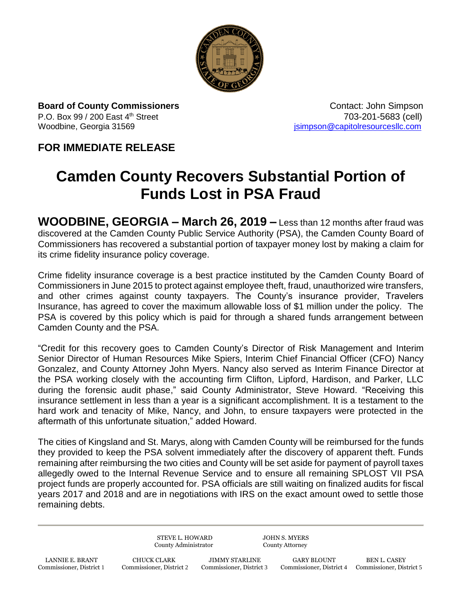

**Board of County Commissioners Contact: John Simpson Contact: John Simpson** P.O. Box 99 / 200 East 4<sup>th</sup> Street 703-201-5683 (cell) Woodbine, Georgia 31569 **journalist and the Control of Control Control Control Control Control Control Control Control Control Control Control Control Control Control Control Control Control Control Control Control Control** 

## **FOR IMMEDIATE RELEASE**

## **Camden County Recovers Substantial Portion of Funds Lost in PSA Fraud**

**WOODBINE, GEORGIA – March 26, 2019 –** Less than 12 months after fraud was discovered at the Camden County Public Service Authority (PSA), the Camden County Board of Commissioners has recovered a substantial portion of taxpayer money lost by making a claim for its crime fidelity insurance policy coverage.

Crime fidelity insurance coverage is a best practice instituted by the Camden County Board of Commissioners in June 2015 to protect against employee theft, fraud, unauthorized wire transfers, and other crimes against county taxpayers. The County's insurance provider, Travelers Insurance, has agreed to cover the maximum allowable loss of \$1 million under the policy. The PSA is covered by this policy which is paid for through a shared funds arrangement between Camden County and the PSA.

"Credit for this recovery goes to Camden County's Director of Risk Management and Interim Senior Director of Human Resources Mike Spiers, Interim Chief Financial Officer (CFO) Nancy Gonzalez, and County Attorney John Myers. Nancy also served as Interim Finance Director at the PSA working closely with the accounting firm Clifton, Lipford, Hardison, and Parker, LLC during the forensic audit phase," said County Administrator, Steve Howard. "Receiving this insurance settlement in less than a year is a significant accomplishment. It is a testament to the hard work and tenacity of Mike, Nancy, and John, to ensure taxpayers were protected in the aftermath of this unfortunate situation," added Howard.

The cities of Kingsland and St. Marys, along with Camden County will be reimbursed for the funds they provided to keep the PSA solvent immediately after the discovery of apparent theft. Funds remaining after reimbursing the two cities and County will be set aside for payment of payroll taxes allegedly owed to the Internal Revenue Service and to ensure all remaining SPLOST VII PSA project funds are properly accounted for. PSA officials are still waiting on finalized audits for fiscal years 2017 and 2018 and are in negotiations with IRS on the exact amount owed to settle those remaining debts.

> STEVE L. HOWARD JOHN S. MYERS County Administrator County Attorney

LANNIE E. BRANT CHUCK CLARK JIMMY STARLINE GARY BLOUNT BEN L. CASEY Commissioner, District 1 Commissioner, District 2 Commissioner, District 3 Commissioner, District 4 Commissioner, District 1

Commissioner, District 4 Commissioner, District 5